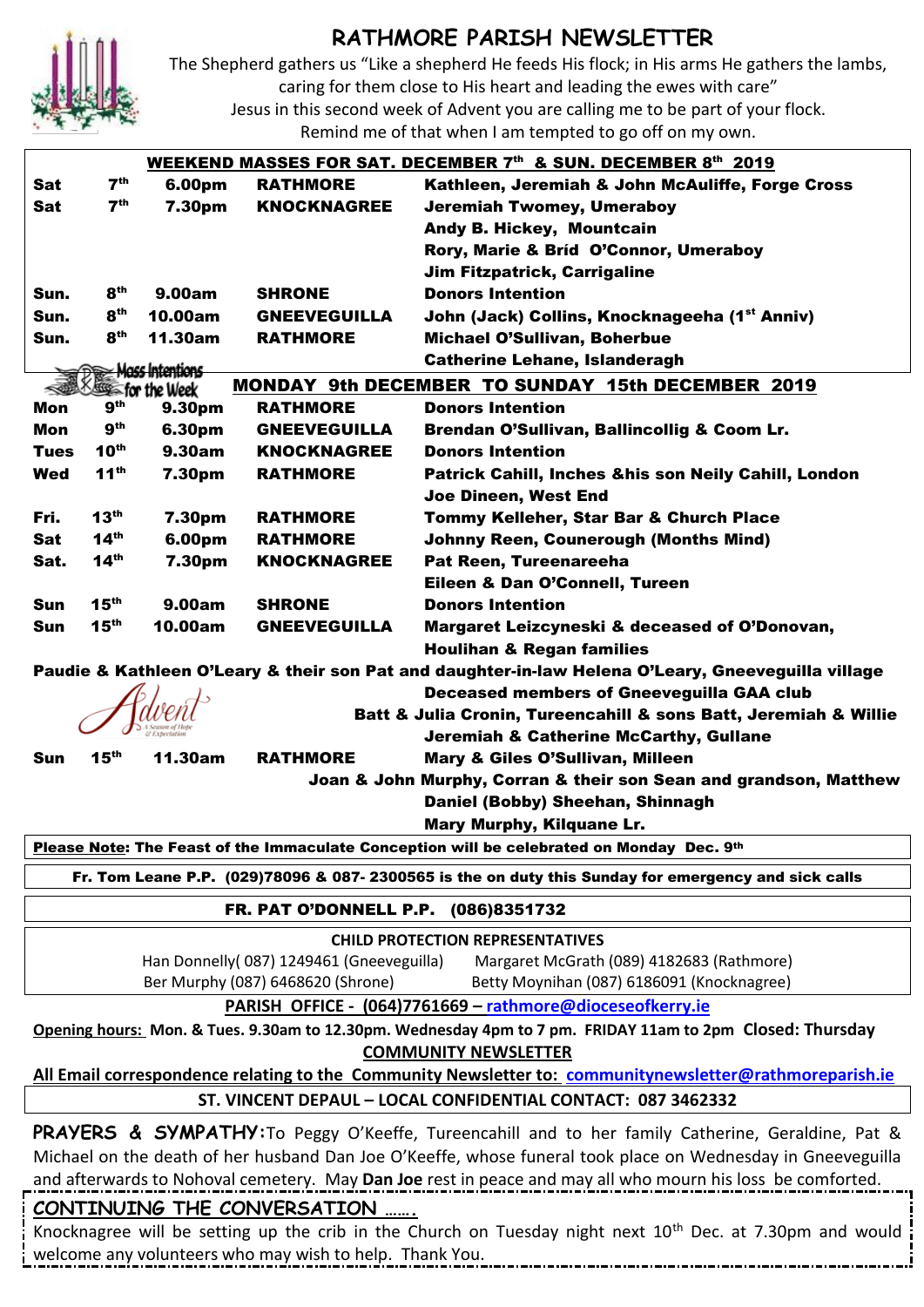

## **RATHMORE PARISH NEWSLETTER**

The Shepherd gathers us "Like a shepherd He feeds His flock; in His arms He gathers the lambs,

caring for them close to His heart and leading the ewes with care"

Jesus in this second week of Advent you are calling me to be part of your flock.

٦

Remind me of that when I am tempted to go off on my own.

| WEEKEND MASSES FOR SAT. DECEMBER 7th & SUN. DECEMBER 8th 2019 |                  |                                                  |                                          |                                                                                                                       |  |  |
|---------------------------------------------------------------|------------------|--------------------------------------------------|------------------------------------------|-----------------------------------------------------------------------------------------------------------------------|--|--|
| Sat                                                           | 7 <sup>th</sup>  | 6.00pm                                           | <b>RATHMORE</b>                          | Kathleen, Jeremiah & John McAuliffe, Forge Cross                                                                      |  |  |
| Sat                                                           | 7 <sup>th</sup>  | 7.30pm                                           | <b>KNOCKNAGREE</b>                       | <b>Jeremiah Twomey, Umeraboy</b>                                                                                      |  |  |
|                                                               |                  |                                                  |                                          | Andy B. Hickey, Mountcain                                                                                             |  |  |
|                                                               |                  |                                                  |                                          | Rory, Marie & Bríd O'Connor, Umeraboy                                                                                 |  |  |
|                                                               |                  |                                                  |                                          | <b>Jim Fitzpatrick, Carrigaline</b>                                                                                   |  |  |
| Sun.                                                          | 8 <sup>th</sup>  | 9.00am                                           | <b>SHRONE</b>                            | <b>Donors Intention</b>                                                                                               |  |  |
| Sun.                                                          | 8 <sup>th</sup>  | 10.00am                                          | <b>GNEEVEGUILLA</b>                      | John (Jack) Collins, Knocknageeha (1st Anniv)                                                                         |  |  |
| Sun.                                                          | 8 <sup>th</sup>  | 11.30am                                          | <b>RATHMORE</b>                          | <b>Michael O'Sullivan, Boherbue</b>                                                                                   |  |  |
|                                                               |                  |                                                  |                                          | <b>Catherine Lehane, Islanderagh</b>                                                                                  |  |  |
| <u> Mass Intentions</u><br>≪<br><b>SSES for the Week</b>      |                  |                                                  |                                          | <b>MONDAY 9th DECEMBER TO SUNDAY 15th DECEMBER 2019</b>                                                               |  |  |
| Mon                                                           | 9 <sup>th</sup>  | 9.30pm                                           | <b>RATHMORE</b>                          | <b>Donors Intention</b>                                                                                               |  |  |
| Mon                                                           | 9 <sup>th</sup>  | 6.30pm                                           | <b>GNEEVEGUILLA</b>                      | Brendan O'Sullivan, Ballincollig & Coom Lr.                                                                           |  |  |
| <b>Tues</b>                                                   | 10 <sup>th</sup> | 9.30am                                           | <b>KNOCKNAGREE</b>                       | <b>Donors Intention</b>                                                                                               |  |  |
| <b>Wed</b>                                                    | 11 <sup>th</sup> | 7.30pm                                           | <b>RATHMORE</b>                          | Patrick Cahill, Inches &his son Neily Cahill, London                                                                  |  |  |
|                                                               |                  |                                                  |                                          | Joe Dineen, West End                                                                                                  |  |  |
|                                                               | 13 <sup>th</sup> |                                                  |                                          |                                                                                                                       |  |  |
| Fri.                                                          | 14 <sup>th</sup> | 7.30pm                                           | <b>RATHMORE</b>                          | Tommy Kelleher, Star Bar & Church Place                                                                               |  |  |
| Sat                                                           |                  | 6.00pm                                           | <b>RATHMORE</b>                          | <b>Johnny Reen, Counerough (Months Mind)</b>                                                                          |  |  |
| Sat.                                                          | $14^{th}$        | 7.30pm                                           | <b>KNOCKNAGREE</b>                       | Pat Reen, Tureenareeha                                                                                                |  |  |
|                                                               |                  |                                                  |                                          | Eileen & Dan O'Connell, Tureen                                                                                        |  |  |
| <b>Sun</b>                                                    | 15 <sup>th</sup> | 9.00am                                           | <b>SHRONE</b>                            | <b>Donors Intention</b>                                                                                               |  |  |
| Sun                                                           | 15 <sup>th</sup> | 10.00am                                          | <b>GNEEVEGUILLA</b>                      | Margaret Leizcyneski & deceased of O'Donovan,                                                                         |  |  |
|                                                               |                  |                                                  |                                          | <b>Houlihan &amp; Regan families</b>                                                                                  |  |  |
|                                                               |                  |                                                  |                                          | Paudie & Kathleen O'Leary & their son Pat and daughter-in-law Helena O'Leary, Gneeveguilla village                    |  |  |
|                                                               |                  | <b>Deceased members of Gneeveguilla GAA club</b> |                                          |                                                                                                                       |  |  |
|                                                               |                  |                                                  |                                          |                                                                                                                       |  |  |
|                                                               |                  |                                                  |                                          | <b>Batt &amp; Julia Cronin, Tureencahill &amp; sons Batt, Jeremiah &amp; Willie</b>                                   |  |  |
|                                                               |                  |                                                  |                                          | <b>Jeremiah &amp; Catherine McCarthy, Gullane</b>                                                                     |  |  |
| Sun                                                           | 15 <sup>th</sup> | 11.30am                                          | <b>RATHMORE</b>                          | Mary & Giles O'Sullivan, Milleen                                                                                      |  |  |
|                                                               |                  |                                                  |                                          | Joan & John Murphy, Corran & their son Sean and grandson, Matthew                                                     |  |  |
|                                                               |                  |                                                  |                                          | Daniel (Bobby) Sheehan, Shinnagh                                                                                      |  |  |
|                                                               |                  |                                                  |                                          | Mary Murphy, Kilquane Lr.                                                                                             |  |  |
|                                                               |                  |                                                  |                                          | Please Note: The Feast of the Immaculate Conception will be celebrated on Monday Dec. 9th                             |  |  |
|                                                               |                  |                                                  |                                          | Fr. Tom Leane P.P. (029)78096 & 087- 2300565 is the on duty this Sunday for emergency and sick calls                  |  |  |
|                                                               |                  |                                                  |                                          |                                                                                                                       |  |  |
|                                                               |                  |                                                  | FR. PAT O'DONNELL P.P. (086)8351732      |                                                                                                                       |  |  |
|                                                               |                  |                                                  |                                          | <b>CHILD PROTECTION REPRESENTATIVES</b>                                                                               |  |  |
|                                                               |                  |                                                  | Han Donnelly(087) 1249461 (Gneeveguilla) | Margaret McGrath (089) 4182683 (Rathmore)                                                                             |  |  |
|                                                               |                  |                                                  | Ber Murphy (087) 6468620 (Shrone)        | Betty Moynihan (087) 6186091 (Knocknagree)                                                                            |  |  |
|                                                               |                  |                                                  |                                          | PARISH OFFICE - (064)7761669 - rathmore@dioceseofkerry.ie                                                             |  |  |
|                                                               |                  |                                                  |                                          | Opening hours: Mon. & Tues. 9.30am to 12.30pm. Wednesday 4pm to 7 pm. FRIDAY 11am to 2pm Closed: Thursday             |  |  |
|                                                               |                  |                                                  |                                          | <b>COMMUNITY NEWSLETTER</b>                                                                                           |  |  |
|                                                               |                  |                                                  |                                          | All Email correspondence relating to the Community Newsletter to: communitynewsletter@rathmoreparish.ie               |  |  |
|                                                               |                  |                                                  |                                          | ST. VINCENT DEPAUL - LOCAL CONFIDENTIAL CONTACT: 087 3462332                                                          |  |  |
|                                                               |                  |                                                  |                                          |                                                                                                                       |  |  |
|                                                               |                  |                                                  |                                          | PRAYERS & SYMPATHY: To Peggy O'Keeffe, Tureencahill and to her family Catherine, Geraldine, Pat &                     |  |  |
|                                                               |                  |                                                  |                                          | Michael on the death of her husband Dan Joe O'Keeffe, whose funeral took place on Wednesday in Gneeveguilla           |  |  |
|                                                               |                  |                                                  |                                          | and afterwards to Nohoval cemetery. May Dan Joe rest in peace and may all who mourn his loss be comforted.            |  |  |
|                                                               |                  |                                                  | CONTINUING THE CONVERSATION              |                                                                                                                       |  |  |
|                                                               |                  |                                                  |                                          | Knocknagree will be setting up the crib in the Church on Tuesday night next 10 <sup>th</sup> Dec. at 7.30pm and would |  |  |